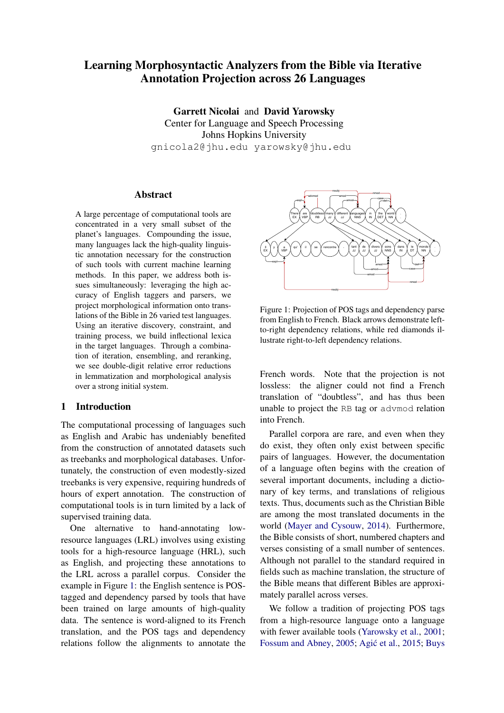# Learning Morphosyntactic Analyzers from the Bible via Iterative Annotation Projection across 26 Languages

Garrett Nicolai and David Yarowsky Center for Language and Speech Processing Johns Hopkins University gnicola2@jhu.edu yarowsky@jhu.edu

## **Abstract**

A large percentage of computational tools are concentrated in a very small subset of the planet's languages. Compounding the issue, many languages lack the high-quality linguistic annotation necessary for the construction of such tools with current machine learning methods. In this paper, we address both issues simultaneously: leveraging the high accuracy of English taggers and parsers, we project morphological information onto translations of the Bible in 26 varied test languages. Using an iterative discovery, constraint, and training process, we build inflectional lexica in the target languages. Through a combination of iteration, ensembling, and reranking, we see double-digit relative error reductions in lemmatization and morphological analysis over a strong initial system.

# 1 Introduction

The computational processing of languages such as English and Arabic has undeniably benefited from the construction of annotated datasets such as treebanks and morphological databases. Unfortunately, the construction of even modestly-sized treebanks is very expensive, requiring hundreds of hours of expert annotation. The construction of computational tools is in turn limited by a lack of supervised training data.

One alternative to hand-annotating lowresource languages (LRL) involves using existing tools for a high-resource language (HRL), such as English, and projecting these annotations to the LRL across a parallel corpus. Consider the example in Figure [1:](#page-0-0) the English sentence is POStagged and dependency parsed by tools that have been trained on large amounts of high-quality data. The sentence is word-aligned to its French translation, and the POS tags and dependency relations follow the alignments to annotate the

<span id="page-0-0"></span>

Figure 1: Projection of POS tags and dependency parse from English to French. Black arrows demonstrate leftto-right dependency relations, while red diamonds illustrate right-to-left dependency relations.

French words. Note that the projection is not lossless: the aligner could not find a French translation of "doubtless", and has thus been unable to project the RB tag or advmod relation into French.

Parallel corpora are rare, and even when they do exist, they often only exist between specific pairs of languages. However, the documentation of a language often begins with the creation of several important documents, including a dictionary of key terms, and translations of religious texts. Thus, documents such as the Christian Bible are among the most translated documents in the world [\(Mayer and Cysouw,](#page-9-0) [2014\)](#page-9-0). Furthermore, the Bible consists of short, numbered chapters and verses consisting of a small number of sentences. Although not parallel to the standard required in fields such as machine translation, the structure of the Bible means that different Bibles are approximately parallel across verses.

We follow a tradition of projecting POS tags from a high-resource language onto a language with fewer available tools [\(Yarowsky et al.,](#page-9-1) [2001;](#page-9-1) [Fossum and Abney,](#page-9-2) [2005;](#page-9-2) Agić et al., [2015;](#page-9-3) [Buys](#page-9-4)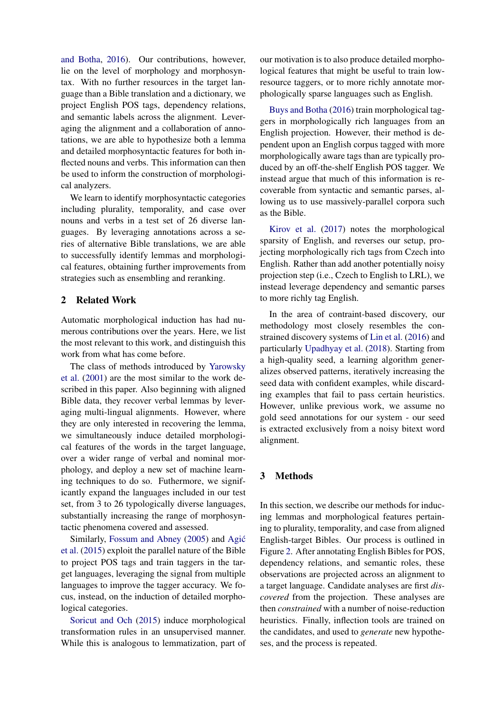[and Botha,](#page-9-4) [2016\)](#page-9-4). Our contributions, however, lie on the level of morphology and morphosyntax. With no further resources in the target language than a Bible translation and a dictionary, we project English POS tags, dependency relations, and semantic labels across the alignment. Leveraging the alignment and a collaboration of annotations, we are able to hypothesize both a lemma and detailed morphosyntactic features for both inflected nouns and verbs. This information can then be used to inform the construction of morphological analyzers.

We learn to identify morphosyntactic categories including plurality, temporality, and case over nouns and verbs in a test set of 26 diverse languages. By leveraging annotations across a series of alternative Bible translations, we are able to successfully identify lemmas and morphological features, obtaining further improvements from strategies such as ensembling and reranking.

# 2 Related Work

Automatic morphological induction has had numerous contributions over the years. Here, we list the most relevant to this work, and distinguish this work from what has come before.

The class of methods introduced by [Yarowsky](#page-9-1) [et al.](#page-9-1) [\(2001\)](#page-9-1) are the most similar to the work described in this paper. Also beginning with aligned Bible data, they recover verbal lemmas by leveraging multi-lingual alignments. However, where they are only interested in recovering the lemma, we simultaneously induce detailed morphological features of the words in the target language, over a wider range of verbal and nominal morphology, and deploy a new set of machine learning techniques to do so. Futhermore, we significantly expand the languages included in our test set, from 3 to 26 typologically diverse languages, substantially increasing the range of morphosyntactic phenomena covered and assessed.

Similarly, [Fossum and Abney](#page-9-2) [\(2005\)](#page-9-2) and [Agic´](#page-9-3) [et al.](#page-9-3) [\(2015\)](#page-9-3) exploit the parallel nature of the Bible to project POS tags and train taggers in the target languages, leveraging the signal from multiple languages to improve the tagger accuracy. We focus, instead, on the induction of detailed morphological categories.

[Soricut and Och](#page-9-5) [\(2015\)](#page-9-5) induce morphological transformation rules in an unsupervised manner. While this is analogous to lemmatization, part of

our motivation is to also produce detailed morphological features that might be useful to train lowresource taggers, or to more richly annotate morphologically sparse languages such as English.

[Buys and Botha](#page-9-4) [\(2016\)](#page-9-4) train morphological taggers in morphologically rich languages from an English projection. However, their method is dependent upon an English corpus tagged with more morphologically aware tags than are typically produced by an off-the-shelf English POS tagger. We instead argue that much of this information is recoverable from syntactic and semantic parses, allowing us to use massively-parallel corpora such as the Bible.

[Kirov et al.](#page-9-6) [\(2017\)](#page-9-6) notes the morphological sparsity of English, and reverses our setup, projecting morphologically rich tags from Czech into English. Rather than add another potentially noisy projection step (i.e., Czech to English to LRL), we instead leverage dependency and semantic parses to more richly tag English.

In the area of contraint-based discovery, our methodology most closely resembles the constrained discovery systems of [Lin et al.](#page-9-7) [\(2016\)](#page-9-7) and particularly [Upadhyay et al.](#page-9-8) [\(2018\)](#page-9-8). Starting from a high-quality seed, a learning algorithm generalizes observed patterns, iteratively increasing the seed data with confident examples, while discarding examples that fail to pass certain heuristics. However, unlike previous work, we assume no gold seed annotations for our system - our seed is extracted exclusively from a noisy bitext word alignment.

## 3 Methods

In this section, we describe our methods for inducing lemmas and morphological features pertaining to plurality, temporality, and case from aligned English-target Bibles. Our process is outlined in Figure [2.](#page-2-0) After annotating English Bibles for POS, dependency relations, and semantic roles, these observations are projected across an alignment to a target language. Candidate analyses are first *discovered* from the projection. These analyses are then *constrained* with a number of noise-reduction heuristics. Finally, inflection tools are trained on the candidates, and used to *generate* new hypotheses, and the process is repeated.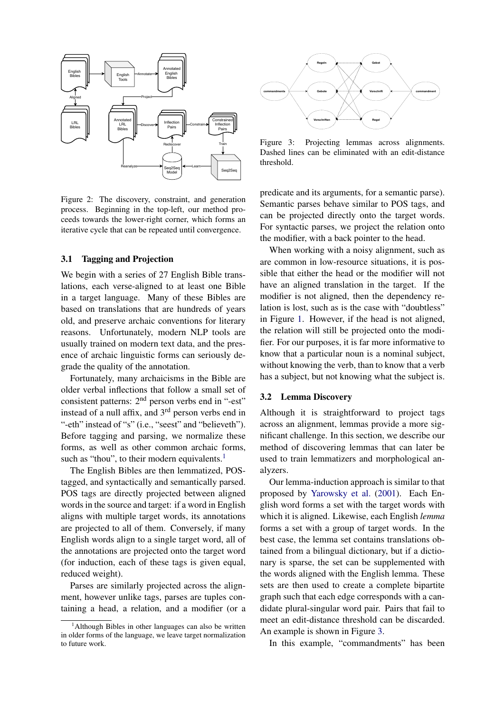<span id="page-2-0"></span>

Figure 2: The discovery, constraint, and generation process. Beginning in the top-left, our method proceeds towards the lower-right corner, which forms an iterative cycle that can be repeated until convergence.

## 3.1 Tagging and Projection

We begin with a series of 27 English Bible translations, each verse-aligned to at least one Bible in a target language. Many of these Bibles are based on translations that are hundreds of years old, and preserve archaic conventions for literary reasons. Unfortunately, modern NLP tools are usually trained on modern text data, and the presence of archaic linguistic forms can seriously degrade the quality of the annotation.

Fortunately, many archaicisms in the Bible are older verbal inflections that follow a small set of consistent patterns: 2<sup>nd</sup> person verbs end in "-est" instead of a null affix, and  $3<sup>rd</sup>$  person verbs end in "-eth" instead of "s" (i.e., "seest" and "believeth"). Before tagging and parsing, we normalize these forms, as well as other common archaic forms, such as "thou", to their modern equivalents. $<sup>1</sup>$  $<sup>1</sup>$  $<sup>1</sup>$ </sup>

The English Bibles are then lemmatized, POStagged, and syntactically and semantically parsed. POS tags are directly projected between aligned words in the source and target: if a word in English aligns with multiple target words, its annotations are projected to all of them. Conversely, if many English words align to a single target word, all of the annotations are projected onto the target word (for induction, each of these tags is given equal, reduced weight).

Parses are similarly projected across the alignment, however unlike tags, parses are tuples containing a head, a relation, and a modifier (or a

<span id="page-2-2"></span>

Figure 3: Projecting lemmas across alignments. Dashed lines can be eliminated with an edit-distance threshold.

predicate and its arguments, for a semantic parse). Semantic parses behave similar to POS tags, and can be projected directly onto the target words. For syntactic parses, we project the relation onto the modifier, with a back pointer to the head.

When working with a noisy alignment, such as are common in low-resource situations, it is possible that either the head or the modifier will not have an aligned translation in the target. If the modifier is not aligned, then the dependency relation is lost, such as is the case with "doubtless" in Figure [1.](#page-0-0) However, if the head is not aligned, the relation will still be projected onto the modifier. For our purposes, it is far more informative to know that a particular noun is a nominal subject, without knowing the verb, than to know that a verb has a subject, but not knowing what the subject is.

#### <span id="page-2-3"></span>3.2 Lemma Discovery

Although it is straightforward to project tags across an alignment, lemmas provide a more significant challenge. In this section, we describe our method of discovering lemmas that can later be used to train lemmatizers and morphological analyzers.

Our lemma-induction approach is similar to that proposed by [Yarowsky et al.](#page-9-1) [\(2001\)](#page-9-1). Each English word forms a set with the target words with which it is aligned. Likewise, each English *lemma* forms a set with a group of target words. In the best case, the lemma set contains translations obtained from a bilingual dictionary, but if a dictionary is sparse, the set can be supplemented with the words aligned with the English lemma. These sets are then used to create a complete bipartite graph such that each edge corresponds with a candidate plural-singular word pair. Pairs that fail to meet an edit-distance threshold can be discarded. An example is shown in Figure [3.](#page-2-2)

In this example, "commandments" has been

<span id="page-2-1"></span> $<sup>1</sup>$ Although Bibles in other languages can also be written</sup> in older forms of the language, we leave target normalization to future work.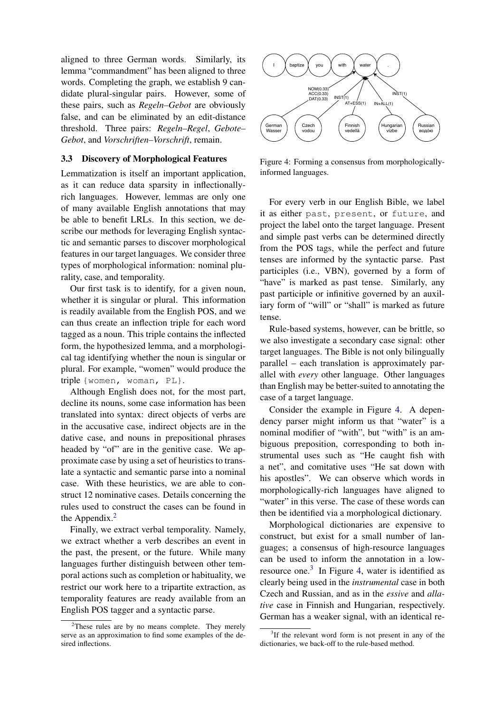aligned to three German words. Similarly, its lemma "commandment" has been aligned to three words. Completing the graph, we establish 9 candidate plural-singular pairs. However, some of these pairs, such as *Regeln–Gebot* are obviously false, and can be eliminated by an edit-distance threshold. Three pairs: *Regeln–Regel*, *Gebote– Gebot*, and *Vorschriften–Vorschrift*, remain.

#### <span id="page-3-3"></span>3.3 Discovery of Morphological Features

Lemmatization is itself an important application, as it can reduce data sparsity in inflectionallyrich languages. However, lemmas are only one of many available English annotations that may be able to benefit LRLs. In this section, we describe our methods for leveraging English syntactic and semantic parses to discover morphological features in our target languages. We consider three types of morphological information: nominal plurality, case, and temporality.

Our first task is to identify, for a given noun, whether it is singular or plural. This information is readily available from the English POS, and we can thus create an inflection triple for each word tagged as a noun. This triple contains the inflected form, the hypothesized lemma, and a morphological tag identifying whether the noun is singular or plural. For example, "women" would produce the triple {women, woman, PL}.

Although English does not, for the most part, decline its nouns, some case information has been translated into syntax: direct objects of verbs are in the accusative case, indirect objects are in the dative case, and nouns in prepositional phrases headed by "of" are in the genitive case. We approximate case by using a set of heuristics to translate a syntactic and semantic parse into a nominal case. With these heuristics, we are able to construct 12 nominative cases. Details concerning the rules used to construct the cases can be found in the Appendix.<sup>[2](#page-3-0)</sup>

Finally, we extract verbal temporality. Namely, we extract whether a verb describes an event in the past, the present, or the future. While many languages further distinguish between other temporal actions such as completion or habituality, we restrict our work here to a tripartite extraction, as temporality features are ready available from an English POS tagger and a syntactic parse.

<span id="page-3-1"></span>

Figure 4: Forming a consensus from morphologicallyinformed languages.

For every verb in our English Bible, we label it as either past, present, or future, and project the label onto the target language. Present and simple past verbs can be determined directly from the POS tags, while the perfect and future tenses are informed by the syntactic parse. Past participles (i.e., VBN), governed by a form of "have" is marked as past tense. Similarly, any past participle or infinitive governed by an auxiliary form of "will" or "shall" is marked as future tense.

Rule-based systems, however, can be brittle, so we also investigate a secondary case signal: other target languages. The Bible is not only bilingually parallel – each translation is approximately parallel with *every* other language. Other languages than English may be better-suited to annotating the case of a target language.

Consider the example in Figure [4.](#page-3-1) A dependency parser might inform us that "water" is a nominal modifier of "with", but "with" is an ambiguous preposition, corresponding to both instrumental uses such as "He caught fish with a net", and comitative uses "He sat down with his apostles". We can observe which words in morphologically-rich languages have aligned to "water" in this verse. The case of these words can then be identified via a morphological dictionary.

Morphological dictionaries are expensive to construct, but exist for a small number of languages; a consensus of high-resource languages can be used to inform the annotation in a lowresource one. $3$  In Figure [4,](#page-3-1) water is identified as clearly being used in the *instrumental* case in both Czech and Russian, and as in the *essive* and *allative* case in Finnish and Hungarian, respectively. German has a weaker signal, with an identical re-

<span id="page-3-0"></span> $2$ These rules are by no means complete. They merely serve as an approximation to find some examples of the desired inflections.

<span id="page-3-2"></span><sup>&</sup>lt;sup>3</sup>If the relevant word form is not present in any of the dictionaries, we back-off to the rule-based method.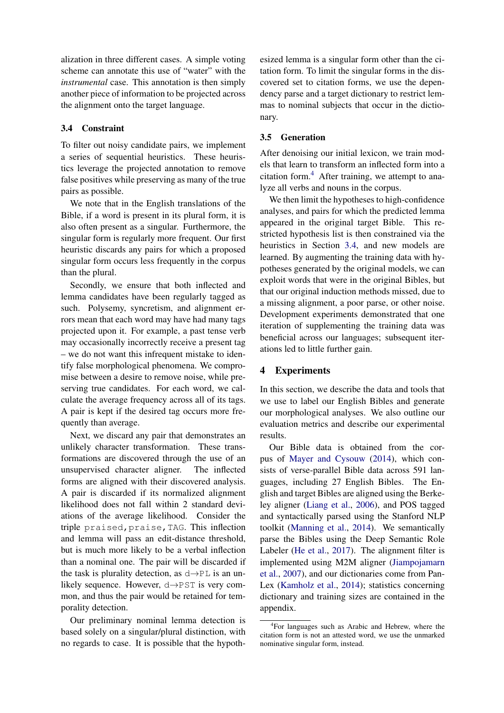alization in three different cases. A simple voting scheme can annotate this use of "water" with the *instrumental* case. This annotation is then simply another piece of information to be projected across the alignment onto the target language.

# <span id="page-4-1"></span>3.4 Constraint

To filter out noisy candidate pairs, we implement a series of sequential heuristics. These heuristics leverage the projected annotation to remove false positives while preserving as many of the true pairs as possible.

We note that in the English translations of the Bible, if a word is present in its plural form, it is also often present as a singular. Furthermore, the singular form is regularly more frequent. Our first heuristic discards any pairs for which a proposed singular form occurs less frequently in the corpus than the plural.

Secondly, we ensure that both inflected and lemma candidates have been regularly tagged as such. Polysemy, syncretism, and alignment errors mean that each word may have had many tags projected upon it. For example, a past tense verb may occasionally incorrectly receive a present tag – we do not want this infrequent mistake to identify false morphological phenomena. We compromise between a desire to remove noise, while preserving true candidates. For each word, we calculate the average frequency across all of its tags. A pair is kept if the desired tag occurs more frequently than average.

Next, we discard any pair that demonstrates an unlikely character transformation. These transformations are discovered through the use of an unsupervised character aligner. The inflected forms are aligned with their discovered analysis. A pair is discarded if its normalized alignment likelihood does not fall within 2 standard deviations of the average likelihood. Consider the triple praised,praise,TAG. This inflection and lemma will pass an edit-distance threshold, but is much more likely to be a verbal inflection than a nominal one. The pair will be discarded if the task is plurality detection, as  $d \rightarrow PL$  is an unlikely sequence. However, d→PST is very common, and thus the pair would be retained for temporality detection.

Our preliminary nominal lemma detection is based solely on a singular/plural distinction, with no regards to case. It is possible that the hypoth-

esized lemma is a singular form other than the citation form. To limit the singular forms in the discovered set to citation forms, we use the dependency parse and a target dictionary to restrict lemmas to nominal subjects that occur in the dictionary.

## 3.5 Generation

After denoising our initial lexicon, we train models that learn to transform an inflected form into a citation form.[4](#page-4-0) After training, we attempt to analyze all verbs and nouns in the corpus.

We then limit the hypotheses to high-confidence analyses, and pairs for which the predicted lemma appeared in the original target Bible. This restricted hypothesis list is then constrained via the heuristics in Section [3.4,](#page-4-1) and new models are learned. By augmenting the training data with hypotheses generated by the original models, we can exploit words that were in the original Bibles, but that our original induction methods missed, due to a missing alignment, a poor parse, or other noise. Development experiments demonstrated that one iteration of supplementing the training data was beneficial across our languages; subsequent iterations led to little further gain.

# 4 Experiments

In this section, we describe the data and tools that we use to label our English Bibles and generate our morphological analyses. We also outline our evaluation metrics and describe our experimental results.

Our Bible data is obtained from the corpus of [Mayer and Cysouw](#page-9-0) [\(2014\)](#page-9-0), which consists of verse-parallel Bible data across 591 languages, including 27 English Bibles. The English and target Bibles are aligned using the Berkeley aligner [\(Liang et al.,](#page-9-9) [2006\)](#page-9-9), and POS tagged and syntactically parsed using the Stanford NLP toolkit [\(Manning et al.,](#page-9-10) [2014\)](#page-9-10). We semantically parse the Bibles using the Deep Semantic Role Labeler [\(He et al.,](#page-9-11) [2017\)](#page-9-11). The alignment filter is implemented using M2M aligner [\(Jiampojamarn](#page-9-12) [et al.,](#page-9-12) [2007\)](#page-9-12), and our dictionaries come from Pan-Lex [\(Kamholz et al.,](#page-9-13) [2014\)](#page-9-13); statistics concerning dictionary and training sizes are contained in the appendix.

<span id="page-4-0"></span><sup>4</sup> For languages such as Arabic and Hebrew, where the citation form is not an attested word, we use the unmarked nominative singular form, instead.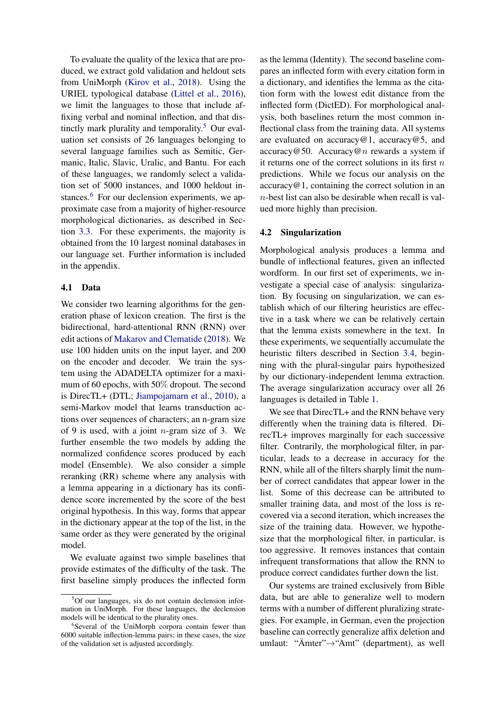To evaluate the quality of the lexica that are produced, we extract gold validation and heldout sets from UniMorph [\(Kirov et al.,](#page-9-14) [2018\)](#page-9-14). Using the URIEL typological database [\(Littel et al.,](#page-9-15) [2016\)](#page-9-15), we limit the languages to those that include affixing verbal and nominal inflection, and that dis-tinctly mark plurality and temporality.<sup>[5](#page-5-0)</sup> Our evaluation set consists of 26 languages belonging to several language families such as Semitic, Germanic, Italic, Slavic, Uralic, and Bantu. For each of these languages, we randomly select a validation set of 5000 instances, and 1000 heldout in-stances.<sup>[6](#page-5-1)</sup> For our declension experiments, we approximate case from a majority of higher-resource morphological dictionaries, as described in Section [3.3.](#page-3-3) For these experiments, the majority is obtained from the 10 largest nominal databases in our language set. Further information is included in the appendix.

## 4.1 Data

We consider two learning algorithms for the generation phase of lexicon creation. The first is the bidirectional, hard-attentional RNN (RNN) over edit actions of [Makarov and Clematide](#page-9-16) [\(2018\)](#page-9-16). We use 100 hidden units on the input layer, and 200 on the encoder and decoder. We train the system using the ADADELTA optimizer for a maximum of 60 epochs, with 50% dropout. The second is DirecTL+ (DTL; [Jiampojamarn et al.,](#page-9-17) [2010\)](#page-9-17), a semi-Markov model that learns transduction actions over sequences of characters; an n-gram size of 9 is used, with a joint  $n$ -gram size of 3. We further ensemble the two models by adding the normalized confidence scores produced by each model (Ensemble). We also consider a simple reranking (RR) scheme where any analysis with a lemma appearing in a dictionary has its confidence score incremented by the score of the best original hypothesis. In this way, forms that appear in the dictionary appear at the top of the list, in the same order as they were generated by the original model.

We evaluate against two simple baselines that provide estimates of the difficulty of the task. The first baseline simply produces the inflected form as the lemma (Identity). The second baseline compares an inflected form with every citation form in a dictionary, and identifies the lemma as the citation form with the lowest edit distance from the inflected form (DictED). For morphological analysis, both baselines return the most common inflectional class from the training data. All systems are evaluated on accuracy  $@1$ , accuracy  $@5$ , and  $accuracy@50$ . Accuracy@n rewards a system if it returns one of the correct solutions in its first  $n$ predictions. While we focus our analysis on the  $accuracy@1$ , containing the correct solution in an  $n$ -best list can also be desirable when recall is valued more highly than precision.

#### 4.2 Singularization

Morphological analysis produces a lemma and bundle of inflectional features, given an inflected wordform. In our first set of experiments, we investigate a special case of analysis: singularization. By focusing on singularization, we can establish which of our filtering heuristics are effective in a task where we can be relatively certain that the lemma exists somewhere in the text. In these experiments, we sequentially accumulate the heuristic filters described in Section [3.4,](#page-4-1) beginning with the plural-singular pairs hypothesized by our dictionary-independent lemma extraction. The average singularization accuracy over all 26 languages is detailed in Table [1.](#page-6-0)

We see that DirecTL+ and the RNN behave very differently when the training data is filtered. DirecTL+ improves marginally for each successive filter. Contrarily, the morphological filter, in particular, leads to a decrease in accuracy for the RNN, while all of the filters sharply limit the number of correct candidates that appear lower in the list. Some of this decrease can be attributed to smaller training data, and most of the loss is recovered via a second iteration, which increases the size of the training data. However, we hypothesize that the morphological filter, in particular, is too aggressive. It removes instances that contain infrequent transformations that allow the RNN to produce correct candidates further down the list.

Our systems are trained exclusively from Bible data, but are able to generalize well to modern terms with a number of different pluralizing strategies. For example, in German, even the projection baseline can correctly generalize affix deletion and umlaut: "Ämter"→"Amt" (department), as well

<span id="page-5-0"></span><sup>5</sup>Of our languages, six do not contain declension information in UniMorph. For these languages, the declension models will be identical to the plurality ones.

<span id="page-5-1"></span><sup>6</sup> Several of the UniMorph corpora contain fewer than 6000 suitable inflection-lemma pairs; in these cases, the size of the validation set is adjusted accordingly.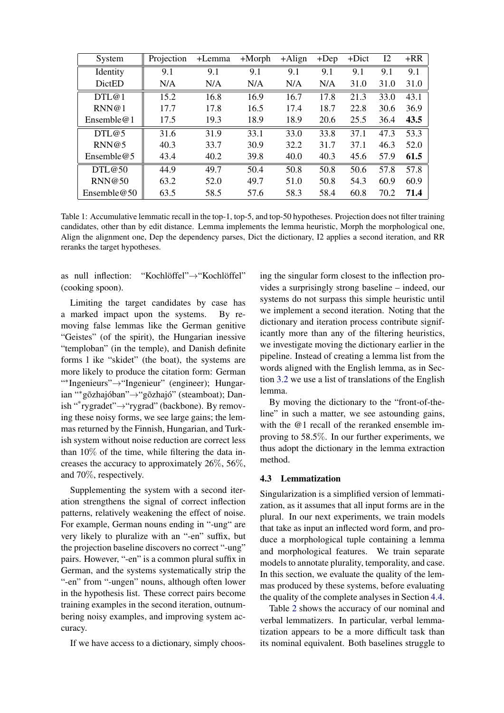<span id="page-6-0"></span>

| System         | Projection | +Lemma | $+Morph$ | $+A$ lign | $+$ Dep | +Dict | I2   | $+RR$ |
|----------------|------------|--------|----------|-----------|---------|-------|------|-------|
| Identity       | 9.1        | 9.1    | 9.1      | 9.1       | 9.1     | 9.1   | 9.1  | 9.1   |
| <b>DictED</b>  | N/A        | N/A    | N/A      | N/A       | N/A     | 31.0  | 31.0 | 31.0  |
| DTL@1          | 15.2       | 16.8   | 16.9     | 16.7      | 17.8    | 21.3  | 33.0 | 43.1  |
| RNN@1          | 17.7       | 17.8   | 16.5     | 17.4      | 18.7    | 22.8  | 30.6 | 36.9  |
| Ensemble $@1$  | 17.5       | 19.3   | 18.9     | 18.9      | 20.6    | 25.5  | 36.4 | 43.5  |
| DTL@5          | 31.6       | 31.9   | 33.1     | 33.0      | 33.8    | 37.1  | 47.3 | 53.3  |
| RNN@5          | 40.3       | 33.7   | 30.9     | 32.2      | 31.7    | 37.1  | 46.3 | 52.0  |
| Ensemble $@5$  | 43.4       | 40.2   | 39.8     | 40.0      | 40.3    | 45.6  | 57.9 | 61.5  |
| DTL@50         | 44.9       | 49.7   | 50.4     | 50.8      | 50.8    | 50.6  | 57.8 | 57.8  |
| RNN@50         | 63.2       | 52.0   | 49.7     | 51.0      | 50.8    | 54.3  | 60.9 | 60.9  |
| Ensemble $@50$ | 63.5       | 58.5   | 57.6     | 58.3      | 58.4    | 60.8  | 70.2 | 71.4  |

Table 1: Accumulative lemmatic recall in the top-1, top-5, and top-50 hypotheses. Projection does not filter training candidates, other than by edit distance. Lemma implements the lemma heuristic, Morph the morphological one, Align the alignment one, Dep the dependency parses, Dict the dictionary, I2 applies a second iteration, and RR reranks the target hypotheses.

as null inflection: "Kochlöffel"→"Kochlöffel" (cooking spoon).

Limiting the target candidates by case has a marked impact upon the systems. By removing false lemmas like the German genitive "Geistes" (of the spirit), the Hungarian inessive "temploban" (in the temple), and Danish definite forms l ike "skidet" (the boat), the systems are more likely to produce the citation form: German " \* Ingenieurs"→"Ingenieur" (engineer); Hungarian "\*gõzhajóban"→"gõzhajó" (steamboat); Danish "\* rygradet"→"rygrad" (backbone). By removing these noisy forms, we see large gains; the lemmas returned by the Finnish, Hungarian, and Turkish system without noise reduction are correct less than  $10\%$  of the time, while filtering the data increases the accuracy to approximately 26%, 56%, and 70%, respectively.

Supplementing the system with a second iteration strengthens the signal of correct inflection patterns, relatively weakening the effect of noise. For example, German nouns ending in "-ung" are very likely to pluralize with an "-en" suffix, but the projection baseline discovers no correct "-ung" pairs. However, "-en" is a common plural suffix in German, and the systems systematically strip the "-en" from "-ungen" nouns, although often lower in the hypothesis list. These correct pairs become training examples in the second iteration, outnumbering noisy examples, and improving system accuracy.

If we have access to a dictionary, simply choos-

ing the singular form closest to the inflection provides a surprisingly strong baseline – indeed, our systems do not surpass this simple heuristic until we implement a second iteration. Noting that the dictionary and iteration process contribute significantly more than any of the filtering heuristics, we investigate moving the dictionary earlier in the pipeline. Instead of creating a lemma list from the words aligned with the English lemma, as in Section [3.2](#page-2-3) we use a list of translations of the English lemma.

By moving the dictionary to the "front-of-theline" in such a matter, we see astounding gains, with the @1 recall of the reranked ensemble improving to 58.5%. In our further experiments, we thus adopt the dictionary in the lemma extraction method.

#### 4.3 Lemmatization

Singularization is a simplified version of lemmatization, as it assumes that all input forms are in the plural. In our next experiments, we train models that take as input an inflected word form, and produce a morphological tuple containing a lemma and morphological features. We train separate models to annotate plurality, temporality, and case. In this section, we evaluate the quality of the lemmas produced by these systems, before evaluating the quality of the complete analyses in Section [4.4.](#page-7-0)

Table [2](#page-7-1) shows the accuracy of our nominal and verbal lemmatizers. In particular, verbal lemmatization appears to be a more difficult task than its nominal equivalent. Both baselines struggle to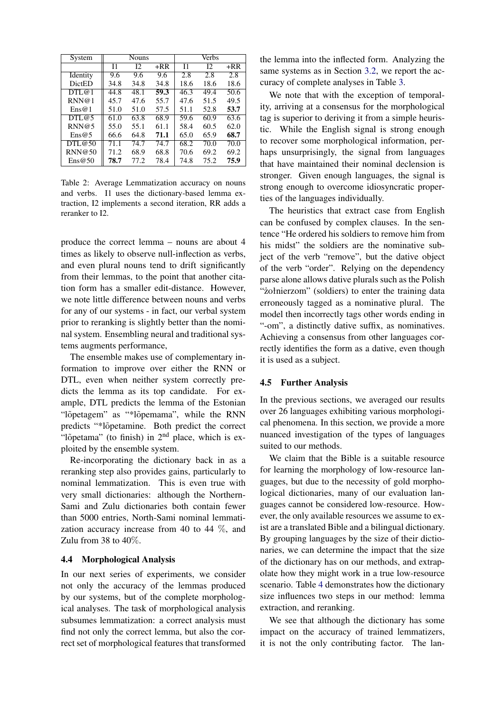<span id="page-7-1"></span>

| System                          | <b>Nouns</b> |      |       | Verbs |      |       |  |
|---------------------------------|--------------|------|-------|-------|------|-------|--|
|                                 | I1           | I2   | $+RR$ | I1    | I2   | $+RR$ |  |
| Identity                        | 9.6          | 9.6  | 9.6   | 2.8   | 2.8  | 2.8   |  |
| <b>DictED</b>                   | 34.8         | 34.8 | 34.8  | 18.6  | 18.6 | 18.6  |  |
| DTL@1                           | 44.8         | 48.1 | 59.3  | 46.3  | 49.4 | 50.6  |  |
| RNN@1                           | 45.7         | 47.6 | 55.7  | 47.6  | 51.5 | 49.5  |  |
| $\text{Ens@1}$                  | 51.0         | 51.0 | 57.5  | 51.1  | 52.8 | 53.7  |  |
| DTL@5                           | 61.0         | 63.8 | 68.9  | 59.6  | 60.9 | 63.6  |  |
| RNN@5                           | 55.0         | 55.1 | 61.1  | 58.4  | 60.5 | 62.0  |  |
| $\text{Ens@}5$                  | 66.6         | 64.8 | 71.1  | 65.0  | 65.9 | 68.7  |  |
| DTL@50                          | 71.1         | 74.7 | 74.7  | 68.2  | 70.0 | 70.0  |  |
| RNN@50                          | 71.2         | 68.9 | 68.8  | 70.6  | 69.2 | 69.2  |  |
| $\text{Ens}\,\textcircled{e}50$ | 78.7         | 77.2 | 78.4  | 74.8  | 75.2 | 75.9  |  |

Table 2: Average Lemmatization accuracy on nouns and verbs. I1 uses the dictionary-based lemma extraction, I2 implements a second iteration, RR adds a reranker to I2.

produce the correct lemma – nouns are about 4 times as likely to observe null-inflection as verbs, and even plural nouns tend to drift significantly from their lemmas, to the point that another citation form has a smaller edit-distance. However, we note little difference between nouns and verbs for any of our systems - in fact, our verbal system prior to reranking is slightly better than the nominal system. Ensembling neural and traditional systems augments performance,

The ensemble makes use of complementary information to improve over either the RNN or DTL, even when neither system correctly predicts the lemma as its top candidate. For example, DTL predicts the lemma of the Estonian "lõpetagem" as "\*lõpemama", while the RNN predicts "\*l˜opetamine. Both predict the correct "lõpetama" (to finish) in  $2<sup>nd</sup>$  place, which is exploited by the ensemble system.

Re-incorporating the dictionary back in as a reranking step also provides gains, particularly to nominal lemmatization. This is even true with very small dictionaries: although the Northern-Sami and Zulu dictionaries both contain fewer than 5000 entries, North-Sami nominal lemmatization accuracy increase from 40 to 44  $\%$ , and Zulu from 38 to 40%.

## <span id="page-7-0"></span>4.4 Morphological Analysis

In our next series of experiments, we consider not only the accuracy of the lemmas produced by our systems, but of the complete morphological analyses. The task of morphological analysis subsumes lemmatization: a correct analysis must find not only the correct lemma, but also the correct set of morphological features that transformed the lemma into the inflected form. Analyzing the same systems as in Section [3.2,](#page-2-3) we report the accuracy of complete analyses in Table [3.](#page-8-0)

We note that with the exception of temporality, arriving at a consensus for the morphological tag is superior to deriving it from a simple heuristic. While the English signal is strong enough to recover some morphological information, perhaps unsurprisingly, the signal from languages that have maintained their nominal declension is stronger. Given enough languages, the signal is strong enough to overcome idiosyncratic properties of the languages individually.

The heuristics that extract case from English can be confused by complex clauses. In the sentence "He ordered his soldiers to remove him from his midst" the soldiers are the nominative subject of the verb "remove", but the dative object of the verb "order". Relying on the dependency parse alone allows dative plurals such as the Polish "˙zołnierzom" (soldiers) to enter the training data erroneously tagged as a nominative plural. The model then incorrectly tags other words ending in "-om", a distinctly dative suffix, as nominatives. Achieving a consensus from other languages correctly identifies the form as a dative, even though it is used as a subject.

#### 4.5 Further Analysis

In the previous sections, we averaged our results over 26 languages exhibiting various morphological phenomena. In this section, we provide a more nuanced investigation of the types of languages suited to our methods.

We claim that the Bible is a suitable resource for learning the morphology of low-resource languages, but due to the necessity of gold morphological dictionaries, many of our evaluation languages cannot be considered low-resource. However, the only available resources we assume to exist are a translated Bible and a bilingual dictionary. By grouping languages by the size of their dictionaries, we can determine the impact that the size of the dictionary has on our methods, and extrapolate how they might work in a true low-resource scenario. Table [4](#page-8-1) demonstrates how the dictionary size influences two steps in our method: lemma extraction, and reranking.

We see that although the dictionary has some impact on the accuracy of trained lemmatizers, it is not the only contributing factor. The lan-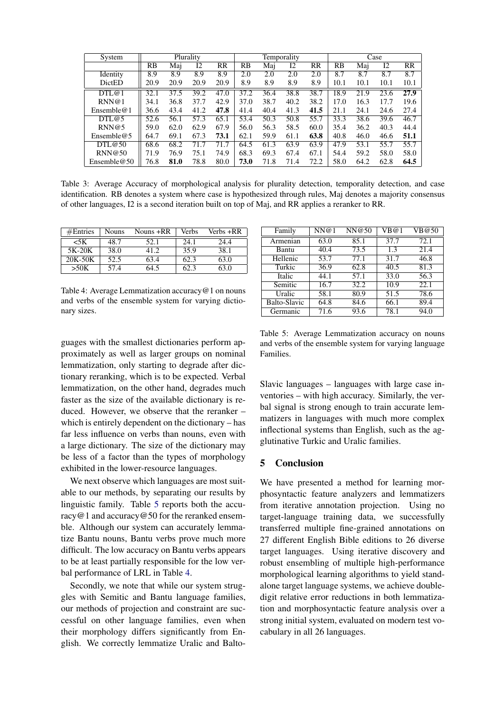<span id="page-8-0"></span>

| System         |      |      | Plurality |         |      |      | Temporality |      |      |      | Case |      |
|----------------|------|------|-----------|---------|------|------|-------------|------|------|------|------|------|
|                | RB   | Mai  | 12        | $_{RR}$ | RB   | Mai  | 12          | RR   | RB   | Mai  | 12   | RR   |
| Identity       | 8.9  | 8.9  | 8.9       | 8.9     | 2.0  | 2.0  | 2.0         | 2.0  | 8.7  | 8.7  | 8.7  | 8.7  |
| DictED         | 20.9 | 20.9 | 20.9      | 20.9    | 8.9  | 8.9  | 8.9         | 8.9  | 10.1 | 10.1 | 10.1 | 10.1 |
| DTL@1          | 32.1 | 37.5 | 39.2      | 47.0    | 37.2 | 36.4 | 38.8        | 38.7 | 18.9 | 21.9 | 23.6 | 27.9 |
| RNN@1          | 34.1 | 36.8 | 37.7      | 42.9    | 37.0 | 38.7 | 40.2        | 38.2 | 17.0 | 16.3 | 17.7 | 19.6 |
| Ensemble $@1$  | 36.6 | 43.4 | 41.2      | 47.8    | 41.4 | 40.4 | 41.3        | 41.5 | 21.1 | 24.1 | 24.6 | 27.4 |
| DTL@5          | 52.6 | 56.1 | 57.3      | 65.1    | 53.4 | 50.3 | 50.8        | 55.7 | 33.3 | 38.6 | 39.6 | 46.7 |
| RNN@5          | 59.0 | 62.0 | 62.9      | 67.9    | 56.0 | 56.3 | 58.5        | 60.0 | 35.4 | 36.2 | 40.3 | 44.4 |
| Ensemble $@5$  | 64.7 | 69.1 | 67.3      | 73.1    | 62.1 | 59.9 | 61.1        | 63.8 | 40.8 | 46.0 | 46.6 | 51.1 |
| DTL@50         | 68.6 | 68.2 | 71.7      | 71.7    | 64.5 | 61.3 | 63.9        | 63.9 | 47.9 | 53.1 | 55.7 | 55.7 |
| RNN@50         | 71.9 | 76.9 | 75.1      | 74.9    | 68.3 | 69.3 | 67.4        | 67.1 | 54.4 | 59.2 | 58.0 | 58.0 |
| Ensemble $@50$ | 76.8 | 81.0 | 78.8      | 80.0    | 73.0 | 71.8 | 71.4        | 72.2 | 58.0 | 64.2 | 62.8 | 64.5 |

Table 3: Average Accuracy of morphological analysis for plurality detection, temporality detection, and case identification. RB denotes a system where case is hypothesized through rules, Maj denotes a majority consensus of other languages, I2 is a second iteration built on top of Maj, and RR applies a reranker to RR.

<span id="page-8-1"></span>

| #Entries | <b>Nouns</b> | Nouns +RR | Verbs | Verbs +RR |
|----------|--------------|-----------|-------|-----------|
| $<$ 5K   | 48.7         | 52.1      | 24.1  | 24.4      |
| 5K-20K   | 38.0         | 41 Z      | 35.9  | 38.1      |
| 20K-50K  | 52.5         | 63.4      | 62.3  | 63.0      |
| >50K     | 57.4         | 64.5      | 62.3  |           |

Table 4: Average Lemmatization accuracy@1 on nouns and verbs of the ensemble system for varying dictionary sizes.

guages with the smallest dictionaries perform approximately as well as larger groups on nominal lemmatization, only starting to degrade after dictionary reranking, which is to be expected. Verbal lemmatization, on the other hand, degrades much faster as the size of the available dictionary is reduced. However, we observe that the reranker – which is entirely dependent on the dictionary – has far less influence on verbs than nouns, even with a large dictionary. The size of the dictionary may be less of a factor than the types of morphology exhibited in the lower-resource languages.

We next observe which languages are most suitable to our methods, by separating our results by linguistic family. Table [5](#page-8-2) reports both the accuracy@1 and accuracy@50 for the reranked ensemble. Although our system can accurately lemmatize Bantu nouns, Bantu verbs prove much more difficult. The low accuracy on Bantu verbs appears to be at least partially responsible for the low verbal performance of LRL in Table [4.](#page-8-1)

Secondly, we note that while our system struggles with Semitic and Bantu language families, our methods of projection and constraint are successful on other language families, even when their morphology differs significantly from English. We correctly lemmatize Uralic and Balto-

<span id="page-8-2"></span>

| Family              | NN@1 | NN@50 | VB@1 | VB@50             |
|---------------------|------|-------|------|-------------------|
| Armenian            | 63.0 | 85.1  | 37.7 | 72.1              |
| Bantu               | 40.4 | 73.5  | 1.3  | 21.4              |
| Hellenic            | 53.7 | 77.1  | 31.7 | 46.8              |
| Turkic              | 36.9 | 62.8  | 40.5 | 81.3              |
| Italic              | 44.1 | 57.1  | 33.0 | 56.3              |
| Semitic             | 16.7 | 32.2  | 10.9 | $\overline{22.1}$ |
| Uralic              | 58.1 | 80.9  | 51.5 | 78.6              |
| <b>Balto-Slavic</b> | 64.8 | 84.6  | 66.1 | 89.4              |
| Germanic            | 71.6 | 93.6  | 78.1 | 94.0              |

Table 5: Average Lemmatization accuracy on nouns and verbs of the ensemble system for varying language Families.

Slavic languages – languages with large case inventories – with high accuracy. Similarly, the verbal signal is strong enough to train accurate lemmatizers in languages with much more complex inflectional systems than English, such as the agglutinative Turkic and Uralic families.

## 5 Conclusion

We have presented a method for learning morphosyntactic feature analyzers and lemmatizers from iterative annotation projection. Using no target-language training data, we successfully transferred multiple fine-grained annotations on 27 different English Bible editions to 26 diverse target languages. Using iterative discovery and robust ensembling of multiple high-performance morphological learning algorithms to yield standalone target language systems, we achieve doubledigit relative error reductions in both lemmatization and morphosyntactic feature analysis over a strong initial system, evaluated on modern test vocabulary in all 26 languages.